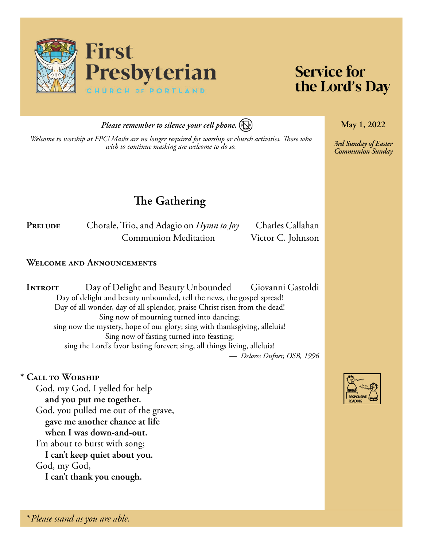

# **Service for** the Lord's Day

**May 1, 2022**

*3rd Sunday of Easter Communion Sunday*

*Please remember to silence your cell phone.*

*Welcome to worship at FPC! Masks are no longer required for worship or church activities. Those who wish to continue masking are welcome to do so.*

**The Gathering**

PRELUDE Chorale, Trio, and Adagio on *Hymn to Joy* Charles Callahan **Communion Meditation** Victor C. Johnson

## **Welcome and Announcements**

**INTROIT** Day of Delight and Beauty Unbounded Giovanni Gastoldi Day of delight and beauty unbounded, tell the news, the gospel spread! Day of all wonder, day of all splendor, praise Christ risen from the dead! Sing now of mourning turned into dancing; sing now the mystery, hope of our glory; sing with thanksgiving, alleluia! Sing now of fasting turned into feasting; sing the Lord's favor lasting forever; sing, all things living, alleluia! *— Delores Dufner, OSB, 1996*

## **\* Call to Worship**

God, my God, I yelled for help **and you put me together.** God, you pulled me out of the grave, **gave me another chance at life when I was down-and-out.** I'm about to burst with song; **I can't keep quiet about you.** God, my God, **I can't thank you enough.**



*\* Please stand as you are able.*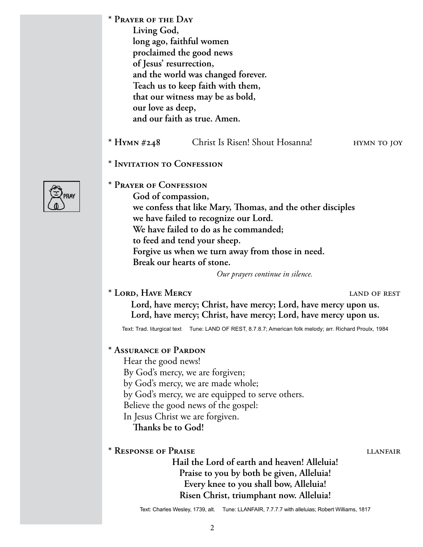- **\* Prayer of the Day Living God, long ago, faithful women proclaimed the good news of Jesus' resurrection, and the world was changed forever. Teach us to keep faith with them, that our witness may be as bold, our love as deep, and our faith as true. Amen.**
- \* **Hymn** #248 Christ Is Risen! Shout Hosanna! hymn to joy
- **\* Invitation to Confession**



**\* Prayer of Confession God of compassion, we confess that like Mary, Thomas, and the other disciples we have failed to recognize our Lord. We have failed to do as he commanded; to feed and tend your sheep. Forgive us when we turn away from those in need. Break our hearts of stone.** 

*Our prayers continue in silence.*

# **\* Lord, Have Mercy** land of rest

**Lord, have mercy; Christ, have mercy; Lord, have mercy upon us. Lord, have mercy; Christ, have mercy; Lord, have mercy upon us.**

Text: Trad. liturgical text Tune: LAND OF REST, 8.7.8.7; American folk melody; arr. Richard Proulx, 1984

# **\* Assurance of Pardon**

Hear the good news! By God's mercy, we are forgiven; by God's mercy, we are made whole; by God's mercy, we are equipped to serve others. Believe the good news of the gospel: In Jesus Christ we are forgiven. **Thanks be to God!**

# **\* Response of Praise** llanfair

**Hail the Lord of earth and heaven! Alleluia! Praise to you by both be given, Alleluia! Every knee to you shall bow, Alleluia! Risen Christ, triumphant now. Alleluia!**

Text: Charles Wesley, 1739, alt. Tune: LLANFAIR, 7.7.7.7 with alleluias; Robert Williams, 1817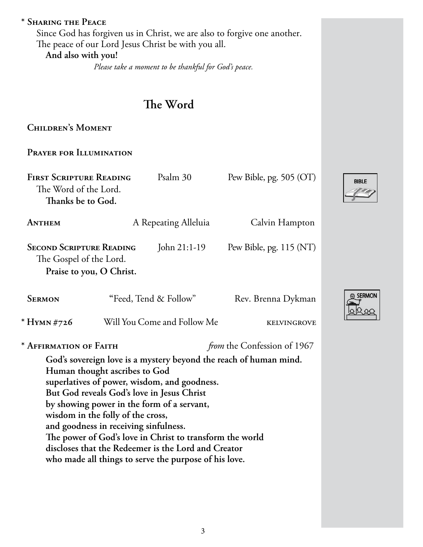# **\* Sharing the Peace**

Since God has forgiven us in Christ, we are also to forgive one another. The peace of our Lord Jesus Christ be with you all. **And also with you!**

*Please take a moment to be thankful for God's peace.*

# **The Word**

**Children's Moment** 

**Prayer for Illumination**

| <b>FIRST SCRIPTURE READING</b><br>The Word of the Lord.<br>Thanks be to God.                                                                                                                                                                                                                                                                                                                                                                                                                             |                             | Psalm 30             | Pew Bible, pg. 505 (OT)            |  |
|----------------------------------------------------------------------------------------------------------------------------------------------------------------------------------------------------------------------------------------------------------------------------------------------------------------------------------------------------------------------------------------------------------------------------------------------------------------------------------------------------------|-----------------------------|----------------------|------------------------------------|--|
| ANTHEM                                                                                                                                                                                                                                                                                                                                                                                                                                                                                                   |                             | A Repeating Alleluia | Calvin Hampton                     |  |
| <b>SECOND SCRIPTURE READING</b><br>John 21:1-19<br>Pew Bible, pg. $115 (NT)$<br>The Gospel of the Lord.<br>Praise to you, O Christ.                                                                                                                                                                                                                                                                                                                                                                      |                             |                      |                                    |  |
| <b>SERMON</b>                                                                                                                                                                                                                                                                                                                                                                                                                                                                                            | "Feed, Tend & Follow"       |                      | Rev. Brenna Dykman                 |  |
| * Hymn #726                                                                                                                                                                                                                                                                                                                                                                                                                                                                                              | Will You Come and Follow Me |                      | <b>KELVINGROVE</b>                 |  |
| * AFFIRMATION OF FAITH                                                                                                                                                                                                                                                                                                                                                                                                                                                                                   |                             |                      | <i>from</i> the Confession of 1967 |  |
| God's sovereign love is a mystery beyond the reach of human mind.<br>Human thought ascribes to God<br>superlatives of power, wisdom, and goodness.<br>But God reveals God's love in Jesus Christ<br>by showing power in the form of a servant,<br>wisdom in the folly of the cross,<br>and goodness in receiving sinfulness.<br>The power of God's love in Christ to transform the world<br>discloses that the Redeemer is the Lord and Creator<br>who made all things to serve the purpose of his love. |                             |                      |                                    |  |



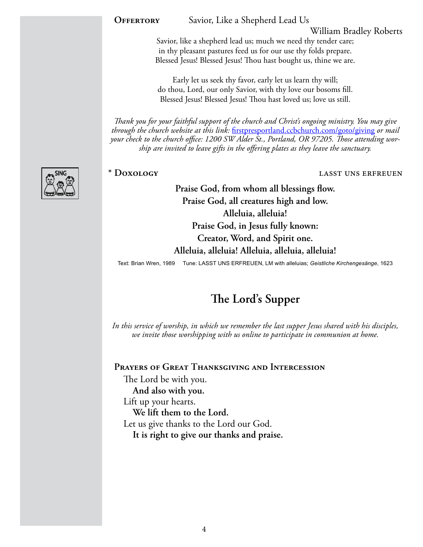**OFFERTORY** Savior, Like a Shepherd Lead Us

William Bradley Roberts

Savior, like a shepherd lead us; much we need thy tender care; in thy pleasant pastures feed us for our use thy folds prepare. Blessed Jesus! Blessed Jesus! Thou hast bought us, thine we are.

Early let us seek thy favor, early let us learn thy will; do thou, Lord, our only Savior, with thy love our bosoms fill. Blessed Jesus! Blessed Jesus! Thou hast loved us; love us still.

*Thank you for your faithful support of the church and Christ's ongoing ministry. You may give through the church website at this link:* [firstpresportland.ccbchurch.com/goto/giving](http://firstpresportland.ccbchurch.com/goto/giving) *or mail your check to the church office: 1200 SW Alder St., Portland, OR 97205. Those attending worship are invited to leave gifts in the offering plates as they leave the sanctuary.*



### **\* Doxology** lasst uns erfreuen

**Praise God, from whom all blessings flow. Praise God, all creatures high and low. Alleluia, alleluia! Praise God, in Jesus fully known: Creator, Word, and Spirit one. Alleluia, alleluia! Alleluia, alleluia, alleluia!**

Text: Brian Wren, 1989 Tune: LASST UNS ERFREUEN, LM with alleluias; *Geistliche Kirchengesänge*, 1623

# **The Lord's Supper**

*In this service of worship, in which we remember the last supper Jesus shared with his disciples, we invite those worshipping with us online to participate in communion at home.* 

**Prayers of Great Thanksgiving and Intercession**

The Lord be with you. **And also with you.** Lift up your hearts. **We lift them to the Lord.** Let us give thanks to the Lord our God. **It is right to give our thanks and praise.**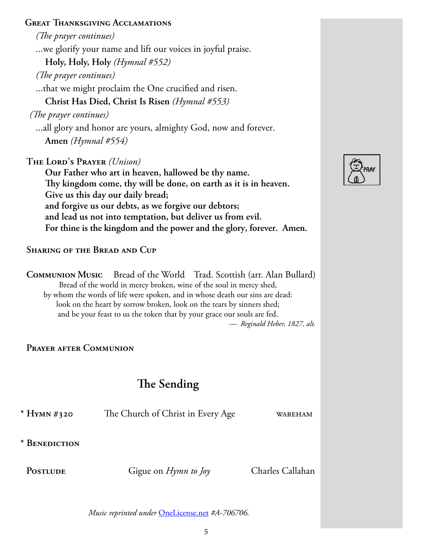# **Great Thanksgiving Acclamations**

*(The prayer continues)*

...we glorify your name and lift our voices in joyful praise.

**Holy, Holy, Holy** *(Hymnal #552)*

*(The prayer continues)*

...that we might proclaim the One crucified and risen.

**Christ Has Died, Christ Is Risen** *(Hymnal #553)* 

*(The prayer continues)*

...all glory and honor are yours, almighty God, now and forever.

**Amen** *(Hymnal #554)*

**The Lord's Prayer** *(Unison)*

**Our Father who art in heaven, hallowed be thy name. Thy kingdom come, thy will be done, on earth as it is in heaven. Give us this day our daily bread; and forgive us our debts, as we forgive our debtors; and lead us not into temptation, but deliver us from evil. For thine is the kingdom and the power and the glory, forever. Amen.**

**Sharing of the Bread and Cup** 

**Communion Music** Bread of the WorldTrad. Scottish (arr. Alan Bullard) Bread of the world in mercy broken, wine of the soul in mercy shed, by whom the words of life were spoken, and in whose death our sins are dead: look on the heart by sorrow broken, look on the tears by sinners shed; and be your feast to us the token that by your grace our souls are fed. *— Reginald Heber, 1827, alt.*

**Prayer after Communion**

# **The Sending**

**\* Hymn #320** The Church of Christ in Every Age wareham

**\* Benediction** 

PostLUDE Gigue on *Hymn to Joy* Charles Callahan

*Music reprinted under* [OneLicense.net](http://OneLicense.net) *#A-706706.*

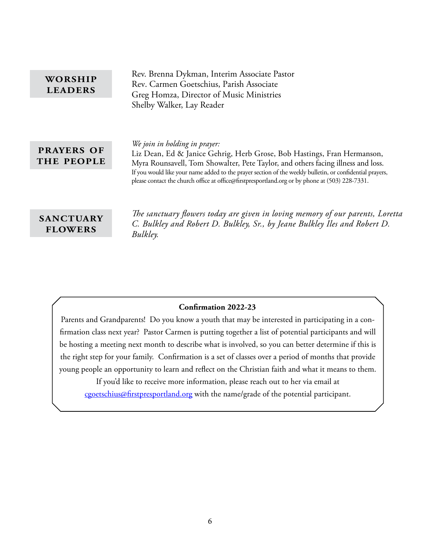| WORSHIP<br><b>LEADERS</b>          | Rev. Brenna Dykman, Interim Associate Pastor<br>Rev. Carmen Goetschius, Parish Associate<br>Greg Homza, Director of Music Ministries                                                                                                                                                                                                                                                                        |
|------------------------------------|-------------------------------------------------------------------------------------------------------------------------------------------------------------------------------------------------------------------------------------------------------------------------------------------------------------------------------------------------------------------------------------------------------------|
|                                    | Shelby Walker, Lay Reader                                                                                                                                                                                                                                                                                                                                                                                   |
| <b>PRAYERS OF</b><br>THE PEOPLE    | We join in holding in prayer:<br>Liz Dean, Ed & Janice Gehrig, Herb Grose, Bob Hastings, Fran Hermanson,<br>Myra Rounsavell, Tom Showalter, Pete Taylor, and others facing illness and loss.<br>If you would like your name added to the prayer section of the weekly bulletin, or confidential prayers,<br>please contact the church office at office@firstpresportland.org or by phone at (503) 228-7331. |
| <b>SANCTUARY</b><br><b>FLOWERS</b> | The sanctuary flowers today are given in loving memory of our parents, Loretta<br>C. Bulkley and Robert D. Bulkley, Sr., by Jeane Bulkley Iles and Robert D.<br>Bulkley.                                                                                                                                                                                                                                    |

# **Confirmation 2022-23**

Parents and Grandparents! Do you know a youth that may be interested in participating in a confirmation class next year? Pastor Carmen is putting together a list of potential participants and will be hosting a meeting next month to describe what is involved, so you can better determine if this is the right step for your family. Confirmation is a set of classes over a period of months that provide young people an opportunity to learn and reflect on the Christian faith and what it means to them.

If you'd like to receive more information, please reach out to her via email at [cgoetschius@firstpresportland.org](mailto:cgoetschius@firstpresportland.org) with the name/grade of the potential participant.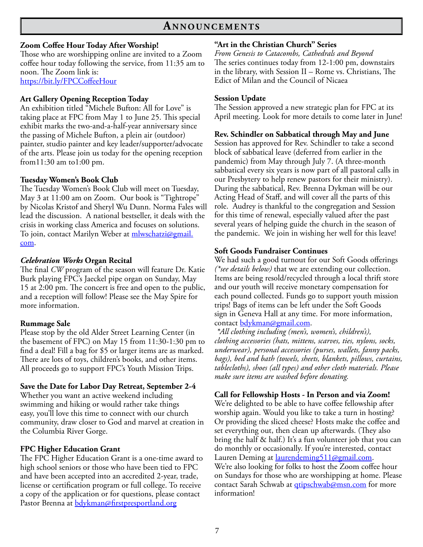# **An n o u n c e m e n t s**

#### **Zoom Coffee Hour Today After Worship!**

Those who are worshipping online are invited to a Zoom coffee hour today following the service, from 11:35 am to noon. The Zoom link is: <https://bit.ly/FPCCoffeeHour>

#### **Art Gallery Opening Reception Today**

An exhibition titled "Michele Bufton: All for Love" is taking place at FPC from May 1 to June 25. This special exhibit marks the two-and-a-half-year anniversary since the passing of Michele Bufton, a plein air (outdoor) painter, studio painter and key leader/supporter/advocate of the arts. Please join us today for the opening reception from11:30 am to1:00 pm.

#### **Tuesday Women's Book Club**

The Tuesday Women's Book Club will meet on Tuesday, May 3 at 11:00 am on Zoom. Our book is "Tightrope" by Nicolas Kristof and Sheryl Wu Dunn. Norma Fales will lead the discussion. A national bestseller, it deals with the crisis in working class America and focuses on solutions. To join, contact Marilyn Weber at <u>mlwschatzi@gmail.</u> [com](mailto:mlwschatzi@gmail.com).

#### *Celebration Works* **Organ Recital**

The final *CW* program of the season will feature Dr. Katie Burk playing FPC's Jaeckel pipe organ on Sunday, May 15 at 2:00 pm. The concert is free and open to the public, and a reception will follow! Please see the May Spire for more information.

#### **Rummage Sale**

Please stop by the old Alder Street Learning Center (in the basement of FPC) on May 15 from 11:30-1:30 pm to find a deal! Fill a bag for \$5 or larger items are as marked. There are lots of toys, children's books, and other items. All proceeds go to support FPC's Youth Mission Trips.

#### **Save the Date for Labor Day Retreat, September 2-4**

Whether you want an active weekend including swimming and hiking or would rather take things easy, you'll love this time to connect with our church community, draw closer to God and marvel at creation in the Columbia River Gorge.

### **FPC Higher Education Grant**

The FPC Higher Education Grant is a one-time award to high school seniors or those who have been tied to FPC and have been accepted into an accredited 2-year, trade, license or certification program or full college. To receive a copy of the application or for questions, please contact Pastor Brenna at **bdykman@firstpresportland.org** 

#### **"Art in the Christian Church" Series**

*From Genesis to Catacombs, Cathedrals and Beyond* The series continues today from 12-1:00 pm, downstairs in the library, with Session II – Rome vs. Christians, The Edict of Milan and the Council of Nicaea

#### **Session Update**

The Session approved a new strategic plan for FPC at its April meeting. Look for more details to come later in June!

#### **Rev. Schindler on Sabbatical through May and June**

Session has approved for Rev. Schindler to take a second block of sabbatical leave (deferred from earlier in the pandemic) from May through July 7. (A three-month sabbatical every six years is now part of all pastoral calls in our Presbytery to help renew pastors for their ministry). During the sabbatical, Rev. Brenna Dykman will be our Acting Head of Staff, and will cover all the parts of this role. Audrey is thankful to the congregation and Session for this time of renewal, especially valued after the past several years of helping guide the church in the season of the pandemic. We join in wishing her well for this leave!

#### **Soft Goods Fundraiser Continues**

We had such a good turnout for our Soft Goods offerings *(\*see details below)* that we are extending our collection. Items are being resold/recycled through a local thrift store and our youth will receive monetary compensation for each pound collected. Funds go to support youth mission trips! Bags of items can be left under the Soft Goods sign in Geneva Hall at any time. For more information, contact [bdykman@gmail.com](mailto:bdykman@gmail.com).

*\*All clothing including (men's, women's, children's), clothing accessories (hats, mittens, scarves, ties, nylons, socks, underwear), personal accessories (purses, wallets, fanny packs, bags), bed and bath (towels, sheets, blankets, pillows, curtains, tablecloths), shoes (all types) and other cloth materials. Please make sure items are washed before donating.*

#### **Call for Fellowship Hosts - In Person and via Zoom!**

We're delighted to be able to have coffee fellowship after worship again. Would you like to take a turn in hosting? Or providing the sliced cheese? Hosts make the coffee and set everything out, then clean up afterwards. (They also bring the half & half.) It's a fun volunteer job that you can do monthly or occasionally. If you're interested, contact Lauren Deming at <u>laurendeming511@gmail.com</u>.

We're also looking for folks to host the Zoom coffee hour on Sundays for those who are worshipping at home. Please contact Sarah Schwab at <u>qtipschwab@msn.com</u> for more information!